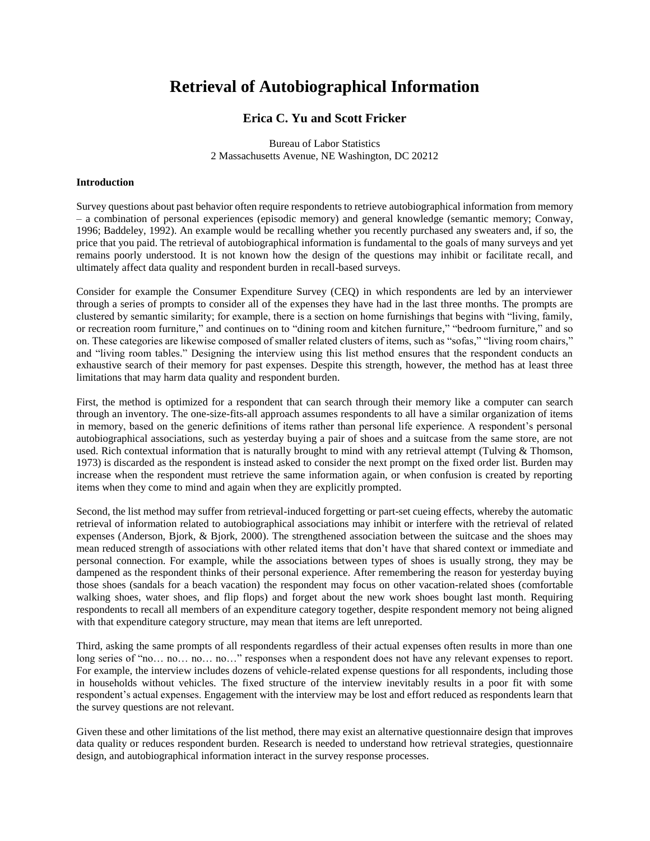# **Retrieval of Autobiographical Information**

## **Erica C. Yu and Scott Fricker**

Bureau of Labor Statistics 2 Massachusetts Avenue, NE Washington, DC 20212

## **Introduction**

Survey questions about past behavior often require respondents to retrieve autobiographical information from memory – a combination of personal experiences (episodic memory) and general knowledge (semantic memory; Conway, 1996; Baddeley, 1992). An example would be recalling whether you recently purchased any sweaters and, if so, the price that you paid. The retrieval of autobiographical information is fundamental to the goals of many surveys and yet remains poorly understood. It is not known how the design of the questions may inhibit or facilitate recall, and ultimately affect data quality and respondent burden in recall-based surveys.

Consider for example the Consumer Expenditure Survey (CEQ) in which respondents are led by an interviewer through a series of prompts to consider all of the expenses they have had in the last three months. The prompts are clustered by semantic similarity; for example, there is a section on home furnishings that begins with "living, family, or recreation room furniture," and continues on to "dining room and kitchen furniture," "bedroom furniture," and so on. These categories are likewise composed of smaller related clusters of items, such as "sofas," "living room chairs," and "living room tables." Designing the interview using this list method ensures that the respondent conducts an exhaustive search of their memory for past expenses. Despite this strength, however, the method has at least three limitations that may harm data quality and respondent burden.

First, the method is optimized for a respondent that can search through their memory like a computer can search through an inventory. The one-size-fits-all approach assumes respondents to all have a similar organization of items in memory, based on the generic definitions of items rather than personal life experience. A respondent's personal autobiographical associations, such as yesterday buying a pair of shoes and a suitcase from the same store, are not used. Rich contextual information that is naturally brought to mind with any retrieval attempt (Tulving & Thomson, 1973) is discarded as the respondent is instead asked to consider the next prompt on the fixed order list. Burden may increase when the respondent must retrieve the same information again, or when confusion is created by reporting items when they come to mind and again when they are explicitly prompted.

Second, the list method may suffer from retrieval-induced forgetting or part-set cueing effects, whereby the automatic retrieval of information related to autobiographical associations may inhibit or interfere with the retrieval of related expenses (Anderson, Bjork, & Bjork, 2000). The strengthened association between the suitcase and the shoes may mean reduced strength of associations with other related items that don't have that shared context or immediate and personal connection. For example, while the associations between types of shoes is usually strong, they may be dampened as the respondent thinks of their personal experience. After remembering the reason for yesterday buying those shoes (sandals for a beach vacation) the respondent may focus on other vacation-related shoes (comfortable walking shoes, water shoes, and flip flops) and forget about the new work shoes bought last month. Requiring respondents to recall all members of an expenditure category together, despite respondent memory not being aligned with that expenditure category structure, may mean that items are left unreported.

Third, asking the same prompts of all respondents regardless of their actual expenses often results in more than one long series of "no… no… no… no…" responses when a respondent does not have any relevant expenses to report. For example, the interview includes dozens of vehicle-related expense questions for all respondents, including those in households without vehicles. The fixed structure of the interview inevitably results in a poor fit with some respondent's actual expenses. Engagement with the interview may be lost and effort reduced as respondents learn that the survey questions are not relevant.

Given these and other limitations of the list method, there may exist an alternative questionnaire design that improves data quality or reduces respondent burden. Research is needed to understand how retrieval strategies, questionnaire design, and autobiographical information interact in the survey response processes.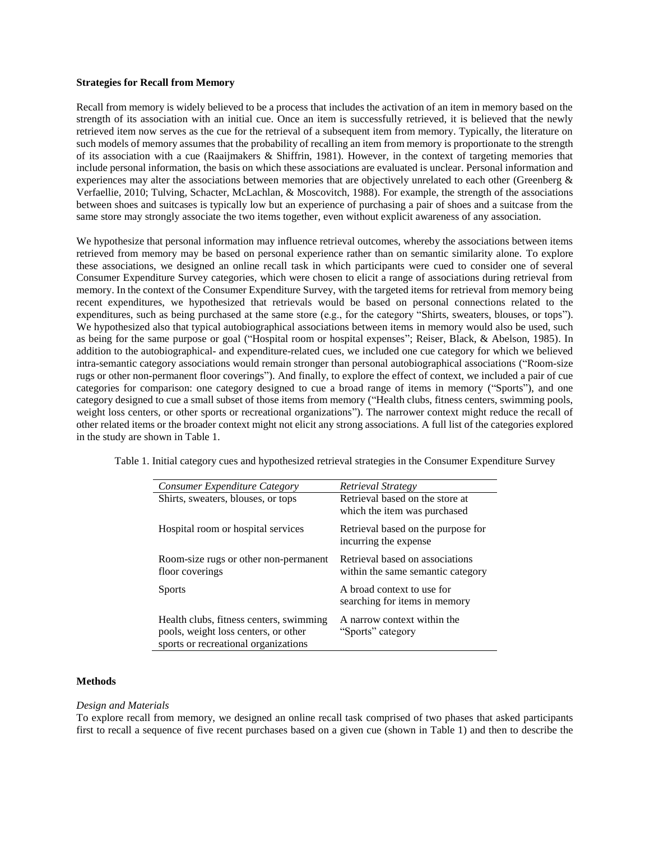## **Strategies for Recall from Memory**

Recall from memory is widely believed to be a process that includes the activation of an item in memory based on the strength of its association with an initial cue. Once an item is successfully retrieved, it is believed that the newly retrieved item now serves as the cue for the retrieval of a subsequent item from memory. Typically, the literature on such models of memory assumes that the probability of recalling an item from memory is proportionate to the strength of its association with a cue (Raaijmakers & Shiffrin, 1981). However, in the context of targeting memories that include personal information, the basis on which these associations are evaluated is unclear. Personal information and experiences may alter the associations between memories that are objectively unrelated to each other (Greenberg & Verfaellie, 2010; Tulving, Schacter, McLachlan, & Moscovitch, 1988). For example, the strength of the associations between shoes and suitcases is typically low but an experience of purchasing a pair of shoes and a suitcase from the same store may strongly associate the two items together, even without explicit awareness of any association.

We hypothesize that personal information may influence retrieval outcomes, whereby the associations between items retrieved from memory may be based on personal experience rather than on semantic similarity alone. To explore these associations, we designed an online recall task in which participants were cued to consider one of several Consumer Expenditure Survey categories, which were chosen to elicit a range of associations during retrieval from memory. In the context of the Consumer Expenditure Survey, with the targeted items for retrieval from memory being recent expenditures, we hypothesized that retrievals would be based on personal connections related to the expenditures, such as being purchased at the same store (e.g., for the category "Shirts, sweaters, blouses, or tops"). We hypothesized also that typical autobiographical associations between items in memory would also be used, such as being for the same purpose or goal ("Hospital room or hospital expenses"; Reiser, Black, & Abelson, 1985). In addition to the autobiographical- and expenditure-related cues, we included one cue category for which we believed intra-semantic category associations would remain stronger than personal autobiographical associations ("Room-size rugs or other non-permanent floor coverings"). And finally, to explore the effect of context, we included a pair of cue categories for comparison: one category designed to cue a broad range of items in memory ("Sports"), and one category designed to cue a small subset of those items from memory ("Health clubs, fitness centers, swimming pools, weight loss centers, or other sports or recreational organizations"). The narrower context might reduce the recall of other related items or the broader context might not elicit any strong associations. A full list of the categories explored in the study are shown in Table 1.

Table 1. Initial category cues and hypothesized retrieval strategies in the Consumer Expenditure Survey

| Consumer Expenditure Category           | Retrieval Strategy                 |  |  |
|-----------------------------------------|------------------------------------|--|--|
| Shirts, sweaters, blouses, or tops      | Retrieval based on the store at    |  |  |
|                                         | which the item was purchased       |  |  |
| Hospital room or hospital services      | Retrieval based on the purpose for |  |  |
|                                         | incurring the expense              |  |  |
| Room-size rugs or other non-permanent   | Retrieval based on associations    |  |  |
| floor coverings                         | within the same semantic category  |  |  |
| <b>Sports</b>                           | A broad context to use for         |  |  |
|                                         | searching for items in memory      |  |  |
|                                         |                                    |  |  |
| Health clubs, fitness centers, swimming | A narrow context within the        |  |  |
| pools, weight loss centers, or other    | "Sports" category                  |  |  |
| sports or recreational organizations    |                                    |  |  |

#### **Methods**

#### *Design and Materials*

To explore recall from memory, we designed an online recall task comprised of two phases that asked participants first to recall a sequence of five recent purchases based on a given cue (shown in Table 1) and then to describe the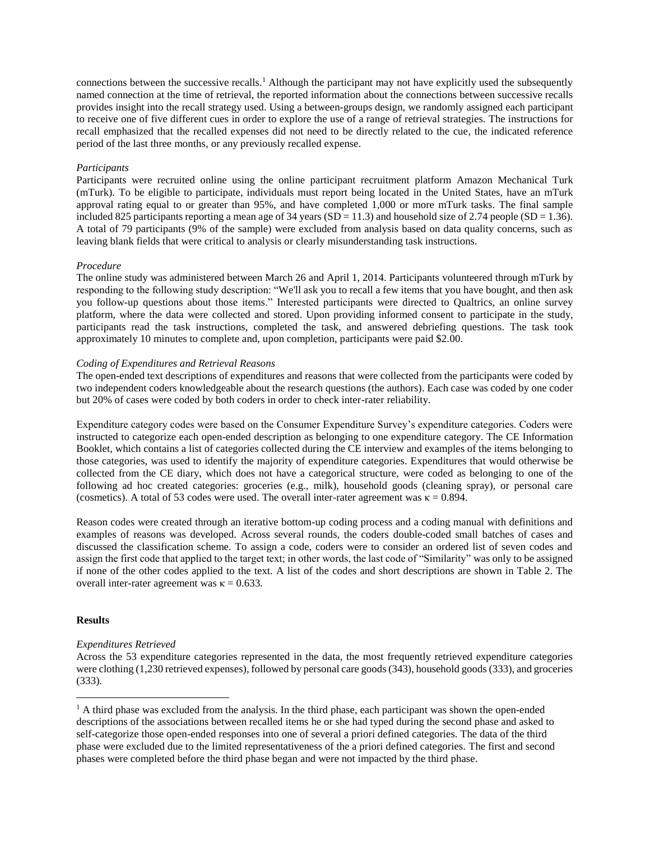connections between the successive recalls. <sup>1</sup> Although the participant may not have explicitly used the subsequently named connection at the time of retrieval, the reported information about the connections between successive recalls provides insight into the recall strategy used. Using a between-groups design, we randomly assigned each participant to receive one of five different cues in order to explore the use of a range of retrieval strategies. The instructions for recall emphasized that the recalled expenses did not need to be directly related to the cue, the indicated reference period of the last three months, or any previously recalled expense.

## *Participants*

Participants were recruited online using the online participant recruitment platform Amazon Mechanical Turk (mTurk). To be eligible to participate, individuals must report being located in the United States, have an mTurk approval rating equal to or greater than 95%, and have completed 1,000 or more mTurk tasks. The final sample included 825 participants reporting a mean age of 34 years  $(SD = 11.3)$  and household size of 2.74 people  $(SD = 1.36)$ . A total of 79 participants (9% of the sample) were excluded from analysis based on data quality concerns, such as leaving blank fields that were critical to analysis or clearly misunderstanding task instructions.

## *Procedure*

The online study was administered between March 26 and April 1, 2014. Participants volunteered through mTurk by responding to the following study description: "We'll ask you to recall a few items that you have bought, and then ask you follow-up questions about those items." Interested participants were directed to Qualtrics, an online survey platform, where the data were collected and stored. Upon providing informed consent to participate in the study, participants read the task instructions, completed the task, and answered debriefing questions. The task took approximately 10 minutes to complete and, upon completion, participants were paid \$2.00.

## *Coding of Expenditures and Retrieval Reasons*

The open-ended text descriptions of expenditures and reasons that were collected from the participants were coded by two independent coders knowledgeable about the research questions (the authors). Each case was coded by one coder but 20% of cases were coded by both coders in order to check inter-rater reliability.

Expenditure category codes were based on the Consumer Expenditure Survey's expenditure categories. Coders were instructed to categorize each open-ended description as belonging to one expenditure category. The CE Information Booklet, which contains a list of categories collected during the CE interview and examples of the items belonging to those categories, was used to identify the majority of expenditure categories. Expenditures that would otherwise be collected from the CE diary, which does not have a categorical structure, were coded as belonging to one of the following ad hoc created categories: groceries (e.g., milk), household goods (cleaning spray), or personal care (cosmetics). A total of 53 codes were used. The overall inter-rater agreement was  $\kappa = 0.894$ .

Reason codes were created through an iterative bottom-up coding process and a coding manual with definitions and examples of reasons was developed. Across several rounds, the coders double-coded small batches of cases and discussed the classification scheme. To assign a code, coders were to consider an ordered list of seven codes and assign the first code that applied to the target text; in other words, the last code of "Similarity" was only to be assigned if none of the other codes applied to the text. A list of the codes and short descriptions are shown in Table 2. The overall inter-rater agreement was  $κ = 0.633$ .

## **Results**

 $\overline{a}$ 

## *Expenditures Retrieved*

Across the 53 expenditure categories represented in the data, the most frequently retrieved expenditure categories were clothing (1,230 retrieved expenses), followed by personal care goods (343), household goods (333), and groceries (333).

 $<sup>1</sup>$  A third phase was excluded from the analysis. In the third phase, each participant was shown the open-ended</sup> descriptions of the associations between recalled items he or she had typed during the second phase and asked to self-categorize those open-ended responses into one of several a priori defined categories. The data of the third phase were excluded due to the limited representativeness of the a priori defined categories. The first and second phases were completed before the third phase began and were not impacted by the third phase.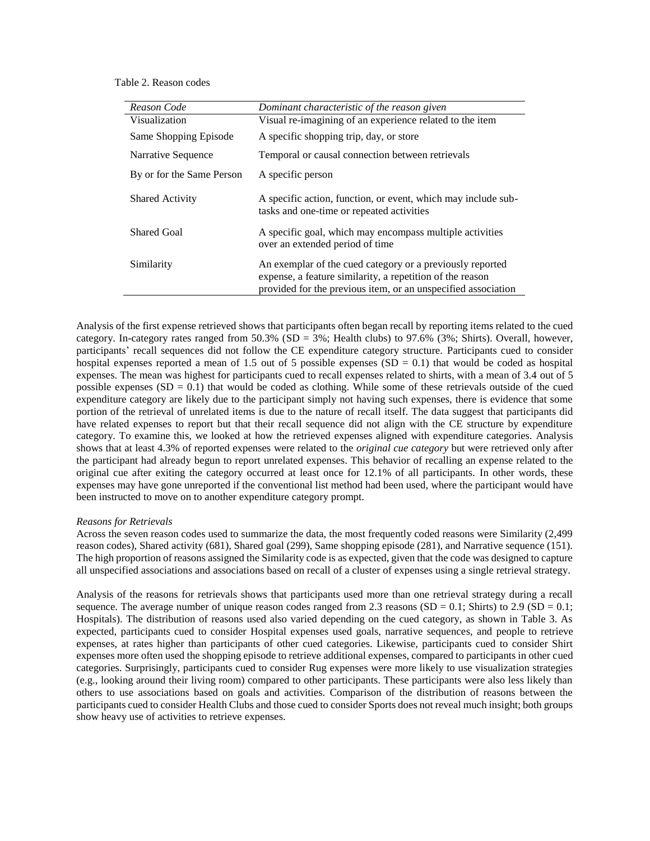Table 2. Reason codes

| Reason Code               | Dominant characteristic of the reason given                                                                                                                                             |
|---------------------------|-----------------------------------------------------------------------------------------------------------------------------------------------------------------------------------------|
| Visualization             | Visual re-imagining of an experience related to the item                                                                                                                                |
| Same Shopping Episode     | A specific shopping trip, day, or store                                                                                                                                                 |
| Narrative Sequence        | Temporal or causal connection between retrievals                                                                                                                                        |
| By or for the Same Person | A specific person                                                                                                                                                                       |
| <b>Shared Activity</b>    | A specific action, function, or event, which may include sub-<br>tasks and one-time or repeated activities                                                                              |
| <b>Shared Goal</b>        | A specific goal, which may encompass multiple activities<br>over an extended period of time                                                                                             |
| Similarity                | An exemplar of the cued category or a previously reported<br>expense, a feature similarity, a repetition of the reason<br>provided for the previous item, or an unspecified association |

Analysis of the first expense retrieved shows that participants often began recall by reporting items related to the cued category. In-category rates ranged from 50.3% (SD = 3%; Health clubs) to 97.6% (3%; Shirts). Overall, however, participants' recall sequences did not follow the CE expenditure category structure. Participants cued to consider hospital expenses reported a mean of 1.5 out of 5 possible expenses  $(SD = 0.1)$  that would be coded as hospital expenses. The mean was highest for participants cued to recall expenses related to shirts, with a mean of 3.4 out of 5 possible expenses  $(SD = 0.1)$  that would be coded as clothing. While some of these retrievals outside of the cued expenditure category are likely due to the participant simply not having such expenses, there is evidence that some portion of the retrieval of unrelated items is due to the nature of recall itself. The data suggest that participants did have related expenses to report but that their recall sequence did not align with the CE structure by expenditure category. To examine this, we looked at how the retrieved expenses aligned with expenditure categories. Analysis shows that at least 4.3% of reported expenses were related to the *original cue category* but were retrieved only after the participant had already begun to report unrelated expenses. This behavior of recalling an expense related to the original cue after exiting the category occurred at least once for 12.1% of all participants. In other words, these expenses may have gone unreported if the conventional list method had been used, where the participant would have been instructed to move on to another expenditure category prompt.

#### *Reasons for Retrievals*

Across the seven reason codes used to summarize the data, the most frequently coded reasons were Similarity (2,499 reason codes), Shared activity (681), Shared goal (299), Same shopping episode (281), and Narrative sequence (151). The high proportion of reasons assigned the Similarity code is as expected, given that the code was designed to capture all unspecified associations and associations based on recall of a cluster of expenses using a single retrieval strategy.

Analysis of the reasons for retrievals shows that participants used more than one retrieval strategy during a recall sequence. The average number of unique reason codes ranged from 2.3 reasons (SD =  $0.1$ ; Shirts) to 2.9 (SD =  $0.1$ ; Hospitals). The distribution of reasons used also varied depending on the cued category, as shown in Table 3. As expected, participants cued to consider Hospital expenses used goals, narrative sequences, and people to retrieve expenses, at rates higher than participants of other cued categories. Likewise, participants cued to consider Shirt expenses more often used the shopping episode to retrieve additional expenses, compared to participants in other cued categories. Surprisingly, participants cued to consider Rug expenses were more likely to use visualization strategies (e.g., looking around their living room) compared to other participants. These participants were also less likely than others to use associations based on goals and activities. Comparison of the distribution of reasons between the participants cued to consider Health Clubs and those cued to consider Sports does not reveal much insight; both groups show heavy use of activities to retrieve expenses.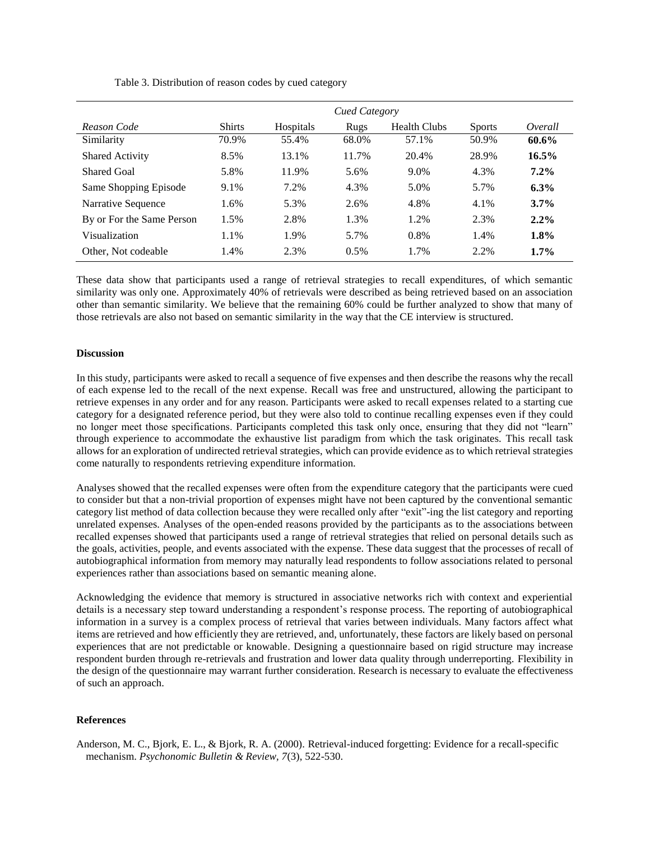|                           | Cued Category |           |       |                     |               |          |  |  |
|---------------------------|---------------|-----------|-------|---------------------|---------------|----------|--|--|
| Reason Code               | <b>Shirts</b> | Hospitals | Rugs  | <b>Health Clubs</b> | <b>Sports</b> | Overall  |  |  |
| Similarity                | 70.9%         | 55.4%     | 68.0% | 57.1%               | 50.9%         | 60.6%    |  |  |
| <b>Shared Activity</b>    | 8.5%          | 13.1%     | 11.7% | 20.4%               | 28.9%         | $16.5\%$ |  |  |
| <b>Shared Goal</b>        | 5.8%          | 11.9%     | 5.6%  | 9.0%                | 4.3%          | $7.2\%$  |  |  |
| Same Shopping Episode     | 9.1%          | 7.2%      | 4.3%  | 5.0%                | 5.7%          | 6.3%     |  |  |
| Narrative Sequence        | 1.6%          | 5.3%      | 2.6%  | 4.8%                | 4.1%          | $3.7\%$  |  |  |
| By or For the Same Person | 1.5%          | 2.8%      | 1.3%  | 1.2%                | 2.3%          | $2.2\%$  |  |  |
| Visualization             | 1.1%          | 1.9%      | 5.7%  | 0.8%                | 1.4%          | 1.8%     |  |  |
| Other, Not codeable       | 1.4%          | 2.3%      | 0.5%  | 1.7%                | 2.2%          | 1.7%     |  |  |

Table 3. Distribution of reason codes by cued category

These data show that participants used a range of retrieval strategies to recall expenditures, of which semantic similarity was only one. Approximately 40% of retrievals were described as being retrieved based on an association other than semantic similarity. We believe that the remaining 60% could be further analyzed to show that many of those retrievals are also not based on semantic similarity in the way that the CE interview is structured.

## **Discussion**

In this study, participants were asked to recall a sequence of five expenses and then describe the reasons why the recall of each expense led to the recall of the next expense. Recall was free and unstructured, allowing the participant to retrieve expenses in any order and for any reason. Participants were asked to recall expenses related to a starting cue category for a designated reference period, but they were also told to continue recalling expenses even if they could no longer meet those specifications. Participants completed this task only once, ensuring that they did not "learn" through experience to accommodate the exhaustive list paradigm from which the task originates. This recall task allows for an exploration of undirected retrieval strategies, which can provide evidence as to which retrieval strategies come naturally to respondents retrieving expenditure information.

Analyses showed that the recalled expenses were often from the expenditure category that the participants were cued to consider but that a non-trivial proportion of expenses might have not been captured by the conventional semantic category list method of data collection because they were recalled only after "exit"-ing the list category and reporting unrelated expenses. Analyses of the open-ended reasons provided by the participants as to the associations between recalled expenses showed that participants used a range of retrieval strategies that relied on personal details such as the goals, activities, people, and events associated with the expense. These data suggest that the processes of recall of autobiographical information from memory may naturally lead respondents to follow associations related to personal experiences rather than associations based on semantic meaning alone.

Acknowledging the evidence that memory is structured in associative networks rich with context and experiential details is a necessary step toward understanding a respondent's response process. The reporting of autobiographical information in a survey is a complex process of retrieval that varies between individuals. Many factors affect what items are retrieved and how efficiently they are retrieved, and, unfortunately, these factors are likely based on personal experiences that are not predictable or knowable. Designing a questionnaire based on rigid structure may increase respondent burden through re-retrievals and frustration and lower data quality through underreporting. Flexibility in the design of the questionnaire may warrant further consideration. Research is necessary to evaluate the effectiveness of such an approach.

## **References**

Anderson, M. C., Bjork, E. L., & Bjork, R. A. (2000). Retrieval-induced forgetting: Evidence for a recall-specific mechanism. *Psychonomic Bulletin & Review, 7*(3), 522-530.